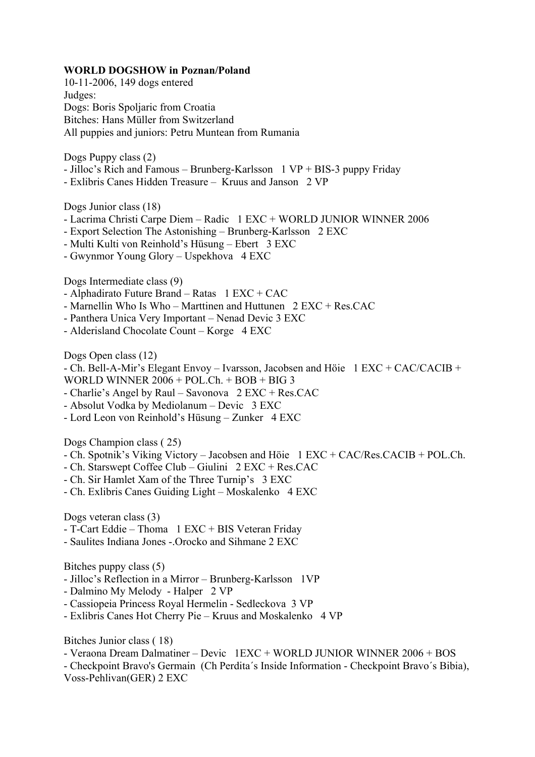## WORLD DOGSHOW in Poznan/Poland

10-11-2006, 149 dogs entered Judges: Dogs: Boris Spoljaric from Croatia Bitches: Hans Müller from Switzerland All puppies and juniors: Petru Muntean from Rumania

Dogs Puppy class (2)

- Jilloc's Rich and Famous Brunberg-Karlsson 1 VP + BIS-3 puppy Friday
- Exlibris Canes Hidden Treasure Kruus and Janson 2 VP

Dogs Junior class (18)

- Lacrima Christi Carpe Diem Radic 1 EXC + WORLD JUNIOR WINNER 2006
- Export Selection The Astonishing Brunberg-Karlsson 2 EXC
- Multi Kulti von Reinhold's Hüsung Ebert 3 EXC
- Gwynmor Young Glory Uspekhova 4 EXC

Dogs Intermediate class (9)

- Alphadirato Future Brand Ratas 1 EXC + CAC
- Marnellin Who Is Who Marttinen and Huttunen 2 EXC + Res.CAC
- Panthera Unica Very Important Nenad Devic 3 EXC
- Alderisland Chocolate Count Korge 4 EXC

Dogs Open class (12)

- Ch. Bell-A-Mir's Elegant Envoy – Ivarsson, Jacobsen and Höie 1 EXC + CAC/CACIB +

WORLD WINNER 2006 + POL.Ch. + BOB + BIG 3

- Charlie's Angel by Raul Savonova 2 EXC + Res.CAC
- Absolut Vodka by Mediolanum Devic 3 EXC
- Lord Leon von Reinhold's Hüsung Zunker 4 EXC

Dogs Champion class ( 25)

- Ch. Spotnik's Viking Victory Jacobsen and Höie 1 EXC + CAC/Res.CACIB + POL.Ch.
- Ch. Starswept Coffee Club Giulini 2 EXC + Res.CAC
- Ch. Sir Hamlet Xam of the Three Turnip's 3 EXC
- Ch. Exlibris Canes Guiding Light Moskalenko 4 EXC

Dogs veteran class (3)

- T-Cart Eddie Thoma 1 EXC + BIS Veteran Friday
- Saulites Indiana Jones -.Orocko and Sihmane 2 EXC

Bitches puppy class (5)

- Jilloc's Reflection in a Mirror Brunberg-Karlsson 1VP
- Dalmino My Melody Halper 2 VP
- Cassiopeia Princess Royal Hermelin Sedleckova 3 VP
- Exlibris Canes Hot Cherry Pie Kruus and Moskalenko 4 VP

Bitches Junior class ( 18)

- Veraona Dream Dalmatiner Devic 1EXC + WORLD JUNIOR WINNER 2006 + BOS
- Checkpoint Bravo's Germain (Ch Perdita´s Inside Information Checkpoint Bravo´s Bibia),
- Voss-Pehlivan(GER) 2 EXC